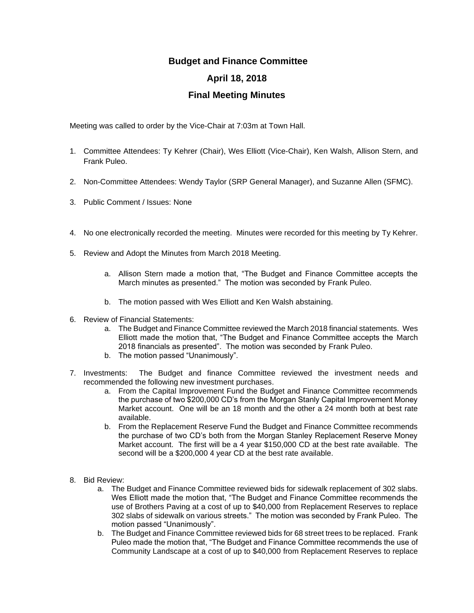## **Budget and Finance Committee April 18, 2018 Final Meeting Minutes**

Meeting was called to order by the Vice-Chair at 7:03m at Town Hall.

- 1. Committee Attendees: Ty Kehrer (Chair), Wes Elliott (Vice-Chair), Ken Walsh, Allison Stern, and Frank Puleo.
- 2. Non-Committee Attendees: Wendy Taylor (SRP General Manager), and Suzanne Allen (SFMC).
- 3. Public Comment / Issues: None
- 4. No one electronically recorded the meeting. Minutes were recorded for this meeting by Ty Kehrer.
- 5. Review and Adopt the Minutes from March 2018 Meeting.
	- a. Allison Stern made a motion that, "The Budget and Finance Committee accepts the March minutes as presented." The motion was seconded by Frank Puleo.
	- b. The motion passed with Wes Elliott and Ken Walsh abstaining.
- 6. Review of Financial Statements:
	- a. The Budget and Finance Committee reviewed the March 2018 financial statements. Wes Elliott made the motion that, "The Budget and Finance Committee accepts the March 2018 financials as presented". The motion was seconded by Frank Puleo.
	- b. The motion passed "Unanimously".
- 7. Investments: The Budget and finance Committee reviewed the investment needs and recommended the following new investment purchases.
	- a. From the Capital Improvement Fund the Budget and Finance Committee recommends the purchase of two \$200,000 CD's from the Morgan Stanly Capital Improvement Money Market account. One will be an 18 month and the other a 24 month both at best rate available.
	- b. From the Replacement Reserve Fund the Budget and Finance Committee recommends the purchase of two CD's both from the Morgan Stanley Replacement Reserve Money Market account. The first will be a 4 year \$150,000 CD at the best rate available. The second will be a \$200,000 4 year CD at the best rate available.
- 8. Bid Review:
	- a. The Budget and Finance Committee reviewed bids for sidewalk replacement of 302 slabs. Wes Elliott made the motion that, "The Budget and Finance Committee recommends the use of Brothers Paving at a cost of up to \$40,000 from Replacement Reserves to replace 302 slabs of sidewalk on various streets." The motion was seconded by Frank Puleo. The motion passed "Unanimously".
	- b. The Budget and Finance Committee reviewed bids for 68 street trees to be replaced. Frank Puleo made the motion that, "The Budget and Finance Committee recommends the use of Community Landscape at a cost of up to \$40,000 from Replacement Reserves to replace